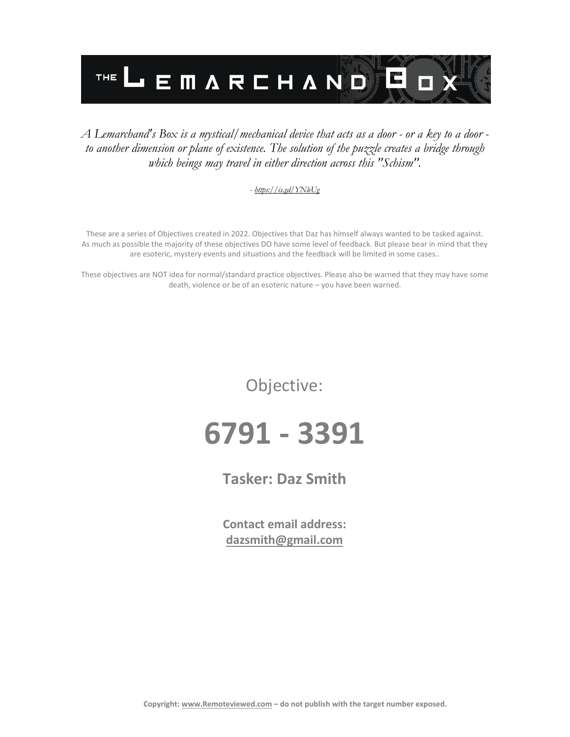

#### *A Lemarchand's Box is a mystical/mechanical device that acts as a door - or a key to a door to another dimension or plane of existence. The solution of the puzzle creates a bridge through which beings may travel in either direction across this "Schism".*

#### *- <https://is.gd/YNleUg>*

These are a series of Objectives created in 2022. Objectives that Daz has himself always wanted to be tasked against. As much as possible the majority of these objectives DO have some level of feedback. But please bear in mind that they are esoteric, mystery events and situations and the feedback will be limited in some cases..

These objectives are NOT idea for normal/standard practice objectives. Please also be warned that they may have some death, violence or be of an esoteric nature – you have been warned.

Objective:

# **6791 - 3391**

**Tasker: Daz Smith**

**Contact email address: [dazsmith@gmail.com](mailto:dazsmith@gmail.com)**